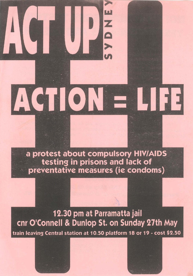a protest about compulsory HIV/AIDS testing in prisons and lack of preventative measures (ie condoms)

ACTIO

 $\blacktriangleright$ 

SYDNE

12.30 pm at Parramatta jail cnr O'Connell & Dunlop St. on Sunday 27th May train leaving Central station at 10.50 platform 18 or 19 - cost \$2.50